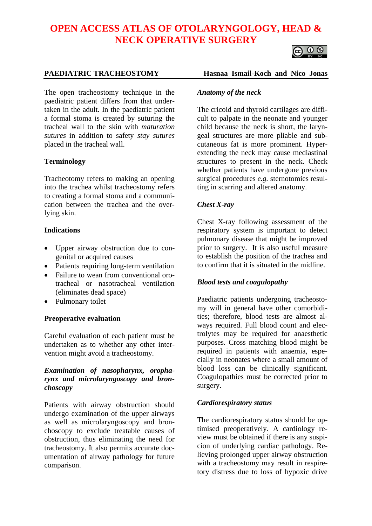# **OPEN ACCESS ATLAS OF OTOLARYNGOLOGY, HEAD & NECK OPERATIVE SURGERY**



The open tracheostomy technique in the paediatric patient differs from that undertaken in the adult. In the paediatric patient a formal stoma is created by suturing the tracheal wall to the skin with *maturation sutures* in addition to safety *stay sutures* placed in the tracheal wall.

# **Terminology**

Tracheotomy refers to making an opening into the trachea whilst tracheostomy refers to creating a formal stoma and a communication between the trachea and the overlying skin.

#### **Indications**

- Upper airway obstruction due to congenital or acquired causes
- Patients requiring long-term ventilation
- Failure to wean from conventional orotracheal or nasotracheal ventilation (eliminates dead space)
- Pulmonary toilet

#### **Preoperative evaluation**

Careful evaluation of each patient must be undertaken as to whether any other intervention might avoid a tracheostomy.

### *Examination of nasopharynx, oropharynx and microlaryngoscopy and bronchoscopy*

Patients with airway obstruction should undergo examination of the upper airways as well as microlaryngoscopy and bronchoscopy to exclude treatable causes of obstruction, thus eliminating the need for tracheostomy. It also permits accurate documentation of airway pathology for future comparison.

#### **PAEDIATRIC TRACHEOSTOMY Hasnaa Ismail-Koch and Nico Jonas**

#### *Anatomy of the neck*

The cricoid and thyroid cartilages are difficult to palpate in the neonate and younger child because the neck is short, the laryngeal structures are more pliable and subcutaneous fat is more prominent. Hyperextending the neck may cause mediastinal structures to present in the neck. Check whether patients have undergone previous surgical procedures *e.g.* sternotomies resulting in scarring and altered anatomy.

#### *Chest X-ray*

Chest X-ray following assessment of the respiratory system is important to detect pulmonary disease that might be improved prior to surgery. It is also useful measure to establish the position of the trachea and to confirm that it is situated in the midline.

#### *Blood tests and coagulopathy*

Paediatric patients undergoing tracheostomy will in general have other comorbidities; therefore, blood tests are almost always required. Full blood count and electrolytes may be required for anaesthetic purposes. Cross matching blood might be required in patients with anaemia, especially in neonates where a small amount of blood loss can be clinically significant. Coagulopathies must be corrected prior to surgery.

#### *Cardiorespiratory status*

The cardiorespiratory status should be optimised preoperatively. A cardiology review must be obtained if there is any suspicion of underlying cardiac pathology. Relieving prolonged upper airway obstruction with a tracheostomy may result in respiretory distress due to loss of hypoxic drive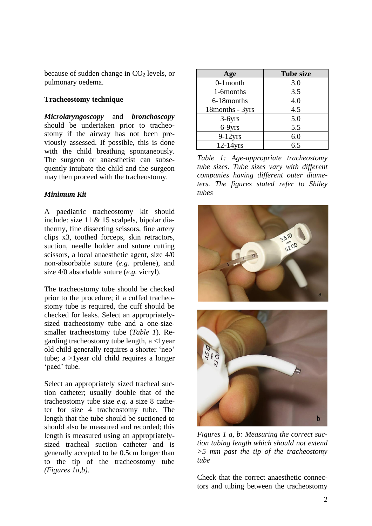because of sudden change in  $CO<sub>2</sub>$  levels, or pulmonary oedema.

### **Tracheostomy technique**

*Microlaryngoscopy* and *bronchoscopy* should be undertaken prior to tracheostomy if the airway has not been previously assessed. If possible, this is done with the child breathing spontaneously. The surgeon or anaesthetist can subsequently intubate the child and the surgeon may then proceed with the tracheostomy.

### *Minimum Kit*

A paediatric tracheostomy kit should include: size 11 & 15 scalpels, bipolar diathermy, fine dissecting scissors, fine artery clips x3, toothed forceps, skin retractors, suction, needle holder and suture cutting scissors, a local anaesthetic agent, size 4/0 non-absorbable suture (*e.g.* prolene), and size 4/0 absorbable suture (*e.g.* vicryl).

The tracheostomy tube should be checked prior to the procedure; if a cuffed tracheostomy tube is required, the cuff should be checked for leaks. Select an appropriatelysized tracheostomy tube and a one-sizesmaller tracheostomy tube (*Table 1*). Regarding tracheostomy tube length,  $a < 1$  year old child generally requires a shorter 'neo' tube; a >1year old child requires a longer 'paed' tube.

Select an appropriately sized tracheal suction catheter; usually double that of the tracheostomy tube size *e.g.* a size 8 catheter for size 4 tracheostomy tube. The length that the tube should be suctioned to should also be measured and recorded; this length is measured using an appropriatelysized tracheal suction catheter and is generally accepted to be 0.5cm longer than to the tip of the tracheostomy tube *(Figures 1a,b)*.

| Age              | <b>Tube size</b> |
|------------------|------------------|
| $0-1$ month      | 3.0              |
| 1-6months        | 3.5              |
| 6-18 months      | 4.0              |
| 18 months - 3yrs | 4.5              |
| $3-6yrs$         | 5.0              |
| 6-9yrs           | 5.5              |
| $9-12$ yrs       | 6.0              |
| $12-14$ yrs      | 6.5              |

*Table 1: Age-appropriate tracheostomy tube sizes. Tube sizes vary with different companies having different outer diameters. The figures stated refer to Shiley tubes*



*Figures 1 a, b: Measuring the correct suction tubing length which should not extend >5 mm past the tip of the tracheostomy tube*

Check that the correct anaesthetic connectors and tubing between the tracheostomy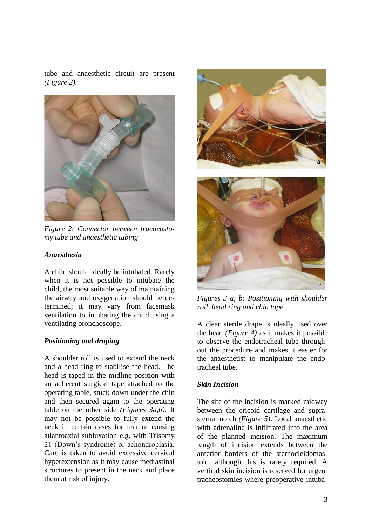tube and anaesthetic circuit are present *(Figure 2).*



*Figure 2: Connector between tracheostomy tube and anaesthetic tubing*

#### *Anaesthesia*

A child should ideally be intubated. Rarely when it is not possible to intubate the child, the most suitable way of maintaining the airway and oxygenation should be determined; it may vary from facemask ventilation to intubating the child using a ventilating bronchoscope.

#### *Positioning and draping*

A shoulder roll is used to extend the neck and a head ring to stabilise the head. The head is taped in the midline position with an adherent surgical tape attached to the operating table, stuck down under the chin and then secured again to the operating table on the other side *(Figures 3a,b).* It may not be possible to fully extend the neck in certain cases for fear of causing atlantoaxial subluxation e.g. with Trisomy 21 (Down's syndrome) or achondroplasia. Care is taken to avoid excessive cervical hyperextension as it may cause mediastinal structures to present in the neck and place them at risk of injury.



*Figures 3 a, b: Positioning with shoulder roll, head ring and chin tape*

A clear sterile drape is ideally used over the head *(Figure 4)* as it makes it possible to observe the endotracheal tube throughout the procedure and makes it easier for the anaesthetist to manipulate the endotracheal tube.

# *Skin Incision*

The site of the incision is marked midway between the cricoid cartilage and suprasternal notch *(Figure 5)*. Local anaesthetic with adrenaline is infiltrated into the area of the planned incision. The maximum length of incision extends between the anterior borders of the sternocleidomastoid, although this is rarely required. A vertical skin incision is reserved for urgent tracheostomies where preoperative intuba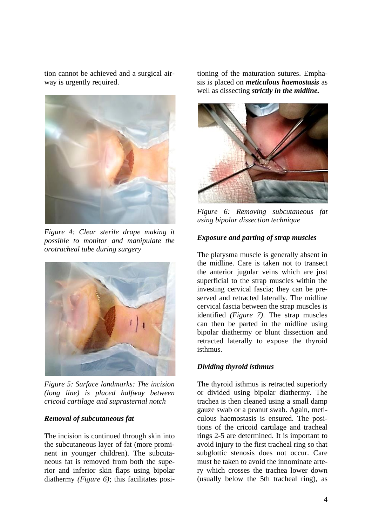tion cannot be achieved and a surgical airway is urgently required.



*Figure 4: Clear sterile drape making it possible to monitor and manipulate the orotracheal tube during surgery*



*Figure 5: Surface landmarks: The incision (long line) is placed halfway between cricoid cartilage and suprasternal notch* 

# *Removal of subcutaneous fat*

The incision is continued through skin into the subcutaneous layer of fat (more prominent in younger children). The subcutaneous fat is removed from both the superior and inferior skin flaps using bipolar diathermy *(Figure 6)*; this facilitates positioning of the maturation sutures. Emphasis is placed on *meticulous haemostasis* as well as dissecting *strictly in the midline.*



*Figure 6: Removing subcutaneous fat using bipolar dissection technique*

#### *Exposure and parting of strap muscles*

The platysma muscle is generally absent in the midline. Care is taken not to transect the anterior jugular veins which are just superficial to the strap muscles within the investing cervical fascia; they can be preserved and retracted laterally. The midline cervical fascia between the strap muscles is identified *(Figure 7)*. The strap muscles can then be parted in the midline using bipolar diathermy or blunt dissection and retracted laterally to expose the thyroid isthmus*.*

#### *Dividing thyroid isthmus*

The thyroid isthmus is retracted superiorly or divided using bipolar diathermy. The trachea is then cleaned using a small damp gauze swab or a peanut swab. Again, meticulous haemostasis is ensured. The positions of the cricoid cartilage and tracheal rings 2-5 are determined. It is important to avoid injury to the first tracheal ring so that subglottic stenosis does not occur. Care must be taken to avoid the innominate artery which crosses the trachea lower down (usually below the 5th tracheal ring), as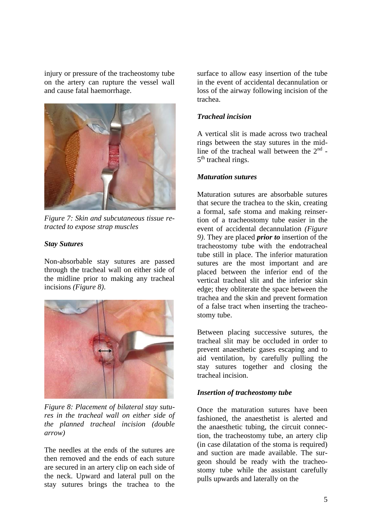injury or pressure of the tracheostomy tube on the artery can rupture the vessel wall and cause fatal haemorrhage.



*Figure 7: Skin and subcutaneous tissue retracted to expose strap muscles* 

#### *Stay Sutures*

Non-absorbable stay sutures are passed through the tracheal wall on either side of the midline prior to making any tracheal incisions *(Figure 8)*.



*Figure 8: Placement of bilateral stay sutures in the tracheal wall on either side of the planned tracheal incision (double arrow)*

The needles at the ends of the sutures are then removed and the ends of each suture are secured in an artery clip on each side of the neck. Upward and lateral pull on the stay sutures brings the trachea to the

surface to allow easy insertion of the tube in the event of accidental decannulation or loss of the airway following incision of the trachea.

# *Tracheal incision*

A vertical slit is made across two tracheal rings between the stay sutures in the midline of the tracheal wall between the  $2<sup>nd</sup>$  -5<sup>th</sup> tracheal rings.

#### *Maturation sutures*

Maturation sutures are absorbable sutures that secure the trachea to the skin, creating a formal, safe stoma and making reinsertion of a tracheostomy tube easier in the event of accidental decannulation *(Figure 9)*. They are placed *prior to* insertion of the tracheostomy tube with the endotracheal tube still in place. The inferior maturation sutures are the most important and are placed between the inferior end of the vertical tracheal slit and the inferior skin edge; they obliterate the space between the trachea and the skin and prevent formation of a false tract when inserting the tracheostomy tube.

Between placing successive sutures, the tracheal slit may be occluded in order to prevent anaesthetic gases escaping and to aid ventilation, by carefully pulling the stay sutures together and closing the tracheal incision.

# *Insertion of tracheostomy tube*

Once the maturation sutures have been fashioned, the anaesthetist is alerted and the anaesthetic tubing, the circuit connection, the tracheostomy tube, an artery clip (in case dilatation of the stoma is required) and suction are made available. The surgeon should be ready with the tracheostomy tube while the assistant carefully pulls upwards and laterally on the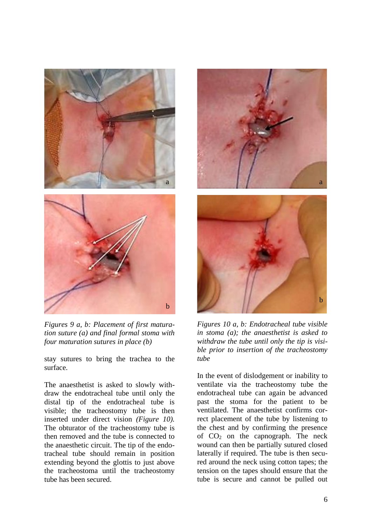

*Figures 9 a, b: Placement of first maturation suture (a) and final formal stoma with four maturation sutures in place (b)*

stay sutures to bring the trachea to the surface.

The anaesthetist is asked to slowly withdraw the endotracheal tube until only the distal tip of the endotracheal tube is visible; the tracheostomy tube is then inserted under direct vision *(Figure 10).* The obturator of the tracheostomy tube is then removed and the tube is connected to the anaesthetic circuit. The tip of the endotracheal tube should remain in position extending beyond the glottis to just above the tracheostoma until the tracheostomy tube has been secured.





*Figures 10 a, b: Endotracheal tube visible in stoma (a); the anaesthetist is asked to withdraw the tube until only the tip is visible prior to insertion of the tracheostomy tube*

In the event of dislodgement or inability to ventilate via the tracheostomy tube the endotracheal tube can again be advanced past the stoma for the patient to be ventilated. The anaesthetist confirms correct placement of the tube by listening to the chest and by confirming the presence of  $CO<sub>2</sub>$  on the capnograph. The neck wound can then be partially sutured closed laterally if required. The tube is then secured around the neck using cotton tapes; the tension on the tapes should ensure that the tube is secure and cannot be pulled out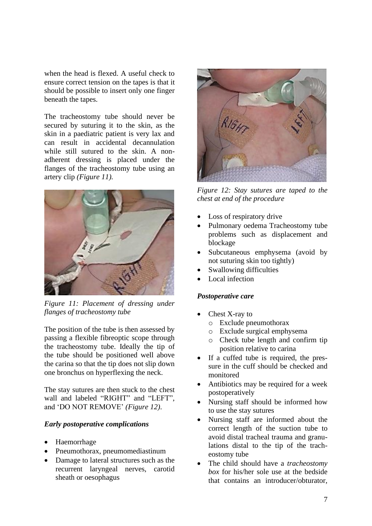when the head is flexed. A useful check to ensure correct tension on the tapes is that it should be possible to insert only one finger beneath the tapes.

The tracheostomy tube should never be secured by suturing it to the skin, as the skin in a paediatric patient is very lax and can result in accidental decannulation while still sutured to the skin. A nonadherent dressing is placed under the flanges of the tracheostomy tube using an artery clip *(Figure 11).*



*Figure 11: Placement of dressing under flanges of tracheostomy tube*

The position of the tube is then assessed by passing a flexible fibreoptic scope through the tracheostomy tube. Ideally the tip of the tube should be positioned well above the carina so that the tip does not slip down one bronchus on hyperflexing the neck.

The stay sutures are then stuck to the chest wall and labeled "RIGHT" and "LEFT", and 'DO NOT REMOVE' *(Figure 12)*.

#### *Early postoperative complications*

- Haemorrhage
- Pneumothorax, pneumomediastinum
- Damage to lateral structures such as the recurrent laryngeal nerves, carotid sheath or oesophagus



*Figure 12: Stay sutures are taped to the chest at end of the procedure*

- Loss of respiratory drive
- Pulmonary oedema Tracheostomy tube problems such as displacement and blockage
- Subcutaneous emphysema (avoid by not suturing skin too tightly)
- Swallowing difficulties
- Local infection

#### *Postoperative care*

- Chest X-ray to
	- o Exclude pneumothorax
	- o Exclude surgical emphysema
	- o Check tube length and confirm tip position relative to carina
- If a cuffed tube is required, the pressure in the cuff should be checked and monitored
- Antibiotics may be required for a week postoperatively
- Nursing staff should be informed how to use the stay sutures
- Nursing staff are informed about the correct length of the suction tube to avoid distal tracheal trauma and granulations distal to the tip of the tracheostomy tube
- The child should have a *tracheostomy box* for his/her sole use at the bedside that contains an introducer/obturator,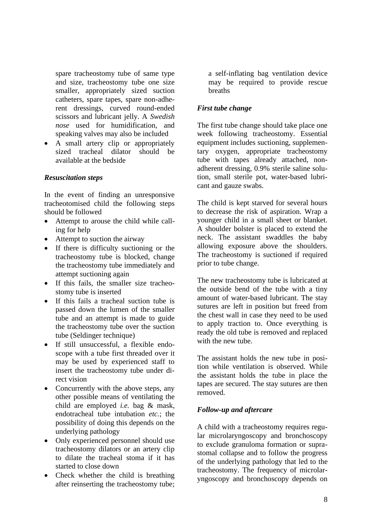spare tracheostomy tube of same type and size, tracheostomy tube one size smaller, appropriately sized suction catheters, spare tapes, spare non-adherent dressings, curved round-ended scissors and lubricant jelly. A *Swedish nose* used for humidification, and speaking valves may also be included

• A small artery clip or appropriately sized tracheal dilator should be available at the bedside

### *Resuscitation steps*

In the event of finding an unresponsive tracheotomised child the following steps should be followed

- Attempt to arouse the child while calling for help
- Attempt to suction the airway
- If there is difficulty suctioning or the tracheostomy tube is blocked, change the tracheostomy tube immediately and attempt suctioning again
- If this fails, the smaller size tracheostomy tube is inserted
- If this fails a tracheal suction tube is passed down the lumen of the smaller tube and an attempt is made to guide the tracheostomy tube over the suction tube (Seldinger technique)
- If still unsuccessful, a flexible endoscope with a tube first threaded over it may be used by experienced staff to insert the tracheostomy tube under direct vision
- Concurrently with the above steps, any other possible means of ventilating the child are employed *i.e.* bag & mask, endotracheal tube intubation *etc.*; the possibility of doing this depends on the underlying pathology
- Only experienced personnel should use tracheostomy dilators or an artery clip to dilate the tracheal stoma if it has started to close down
- Check whether the child is breathing after reinserting the tracheostomy tube;

a self-inflating bag ventilation device may be required to provide rescue breaths

# *First tube change*

The first tube change should take place one week following tracheostomy. Essential equipment includes suctioning, supplementary oxygen, appropriate tracheostomy tube with tapes already attached, nonadherent dressing, 0.9% sterile saline solution, small sterile pot, water-based lubricant and gauze swabs.

The child is kept starved for several hours to decrease the risk of aspiration. Wrap a younger child in a small sheet or blanket. A shoulder bolster is placed to extend the neck. The assistant swaddles the baby allowing exposure above the shoulders. The tracheostomy is suctioned if required prior to tube change.

The new tracheostomy tube is lubricated at the outside bend of the tube with a tiny amount of water-based lubricant. The stay sutures are left in position but freed from the chest wall in case they need to be used to apply traction to. Once everything is ready the old tube is removed and replaced with the new tube.

The assistant holds the new tube in position while ventilation is observed. While the assistant holds the tube in place the tapes are secured. The stay sutures are then removed.

# *Follow-up and aftercare*

A child with a tracheostomy requires regular microlaryngoscopy and bronchoscopy to exclude granuloma formation or suprastomal collapse and to follow the progress of the underlying pathology that led to the tracheostomy. The frequency of microlaryngoscopy and bronchoscopy depends on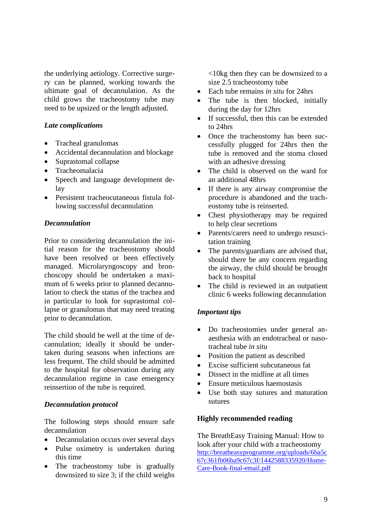the underlying aetiology. Corrective surgery can be planned, working towards the ultimate goal of decannulation. As the child grows the tracheostomy tube may need to be upsized or the length adjusted.

# *Late complications*

- Tracheal granulomas
- Accidental decannulation and blockage
- Suprastomal collapse
- Tracheomalacia
- Speech and language development delay
- Persistent tracheocutaneous fistula following successful decannulation

### *Decannulation*

Prior to considering decannulation the initial reason for the tracheostomy should have been resolved or been effectively managed. Microlaryngoscopy and bronchoscopy should be undertaken a maximum of 6 weeks prior to planned decannulation to check the status of the trachea and in particular to look for suprastomal collapse or granulomas that may need treating prior to decannulation.

The child should be well at the time of decannulation; ideally it should be undertaken during seasons when infections are less frequent. The child should be admitted to the hospital for observation during any decannulation regime in case emergency reinsertion of the tube is required.

#### *Decannulation protocol*

The following steps should ensure safe decannulation

- Decannulation occurs over several days
- Pulse oximetry is undertaken during this time
- The tracheostomy tube is gradually downsized to size 3; if the child weighs

<10kg then they can be downsized to a size 2.5 tracheostomy tube

- Each tube remains *in situ* for 24hrs
- The tube is then blocked, initially during the day for 12hrs
- If successful, then this can be extended to 24hrs
- Once the tracheostomy has been successfully plugged for 24hrs then the tube is removed and the stoma closed with an adhesive dressing
- The child is observed on the ward for an additional 48hrs
- If there is any airway compromise the procedure is abandoned and the tracheostomy tube is reinserted.
- Chest physiotherapy may be required to help clear secretions
- Parents/carers need to undergo resuscitation training
- The parents/guardians are advised that, should there be any concern regarding the airway, the child should be brought back to hospital
- The child is reviewed in an outpatient clinic 6 weeks following decannulation

# *Important tips*

- Do tracheostomies under general anaesthesia with an endotracheal or nasotracheal tube *in situ*
- Position the patient as described
- Excise sufficient subcutaneous fat
- Dissect in the midline at all times
- Ensure meticulous haemostasis
- Use both stay sutures and maturation sutures

#### **Highly recommended reading**

The BreathEasy Training Manual: How to look after your child with a tracheostomy [http://breatheasyprogramme.org/uploads/6ba5c](http://breatheasyprogramme.org/uploads/6ba5c67c361fb06ba9c67c3f/1442588335920/Home-Care-Book-final-email.pdf) [67c361fb06ba9c67c3f/1442588335920/Home-](http://breatheasyprogramme.org/uploads/6ba5c67c361fb06ba9c67c3f/1442588335920/Home-Care-Book-final-email.pdf)[Care-Book-final-email.pdf](http://breatheasyprogramme.org/uploads/6ba5c67c361fb06ba9c67c3f/1442588335920/Home-Care-Book-final-email.pdf)